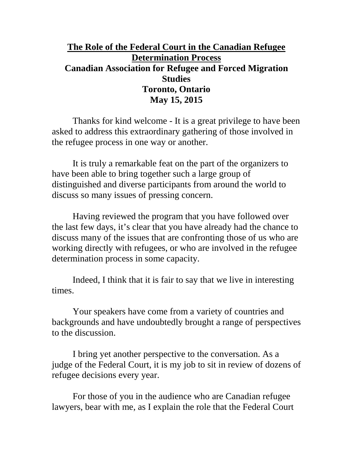# **The Role of the Federal Court in the Canadian Refugee Determination Process Canadian Association for Refugee and Forced Migration Studies Toronto, Ontario May 15, 2015**

Thanks for kind welcome - It is a great privilege to have been asked to address this extraordinary gathering of those involved in the refugee process in one way or another.

It is truly a remarkable feat on the part of the organizers to have been able to bring together such a large group of distinguished and diverse participants from around the world to discuss so many issues of pressing concern.

Having reviewed the program that you have followed over the last few days, it's clear that you have already had the chance to discuss many of the issues that are confronting those of us who are working directly with refugees, or who are involved in the refugee determination process in some capacity.

Indeed, I think that it is fair to say that we live in interesting times.

Your speakers have come from a variety of countries and backgrounds and have undoubtedly brought a range of perspectives to the discussion.

I bring yet another perspective to the conversation. As a judge of the Federal Court, it is my job to sit in review of dozens of refugee decisions every year.

For those of you in the audience who are Canadian refugee lawyers, bear with me, as I explain the role that the Federal Court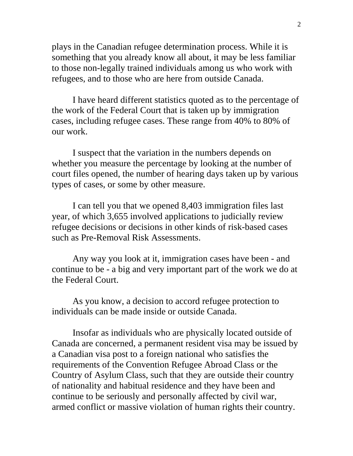plays in the Canadian refugee determination process. While it is something that you already know all about, it may be less familiar to those non-legally trained individuals among us who work with refugees, and to those who are here from outside Canada.

I have heard different statistics quoted as to the percentage of the work of the Federal Court that is taken up by immigration cases, including refugee cases. These range from 40% to 80% of our work.

I suspect that the variation in the numbers depends on whether you measure the percentage by looking at the number of court files opened, the number of hearing days taken up by various types of cases, or some by other measure.

I can tell you that we opened 8,403 immigration files last year, of which 3,655 involved applications to judicially review refugee decisions or decisions in other kinds of risk-based cases such as Pre-Removal Risk Assessments.

Any way you look at it, immigration cases have been - and continue to be - a big and very important part of the work we do at the Federal Court.

As you know, a decision to accord refugee protection to individuals can be made inside or outside Canada.

Insofar as individuals who are physically located outside of Canada are concerned, a permanent resident visa may be issued by a Canadian visa post to a foreign national who satisfies the requirements of the Convention Refugee Abroad Class or the Country of Asylum Class, such that they are outside their country of nationality and habitual residence and they have been and continue to be seriously and personally affected by civil war, armed conflict or massive violation of human rights their country.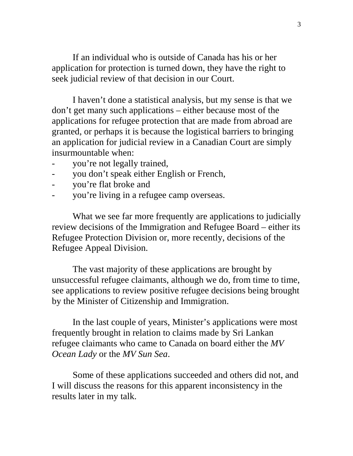If an individual who is outside of Canada has his or her application for protection is turned down, they have the right to seek judicial review of that decision in our Court.

I haven't done a statistical analysis, but my sense is that we don't get many such applications – either because most of the applications for refugee protection that are made from abroad are granted, or perhaps it is because the logistical barriers to bringing an application for judicial review in a Canadian Court are simply insurmountable when:

- you're not legally trained,
- you don't speak either English or French,
- you're flat broke and
- you're living in a refugee camp overseas.

What we see far more frequently are applications to judicially review decisions of the Immigration and Refugee Board – either its Refugee Protection Division or, more recently, decisions of the Refugee Appeal Division.

The vast majority of these applications are brought by unsuccessful refugee claimants, although we do, from time to time, see applications to review positive refugee decisions being brought by the Minister of Citizenship and Immigration.

In the last couple of years, Minister's applications were most frequently brought in relation to claims made by Sri Lankan refugee claimants who came to Canada on board either the *MV Ocean Lady* or the *MV Sun Sea*.

Some of these applications succeeded and others did not, and I will discuss the reasons for this apparent inconsistency in the results later in my talk.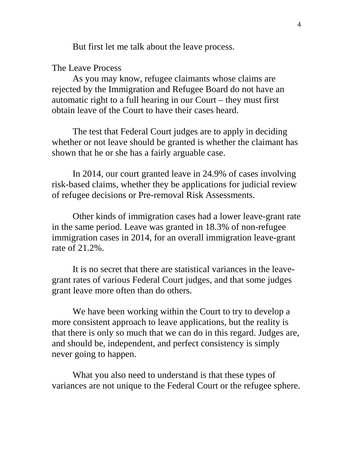But first let me talk about the leave process.

The Leave Process

As you may know, refugee claimants whose claims are rejected by the Immigration and Refugee Board do not have an automatic right to a full hearing in our Court – they must first obtain leave of the Court to have their cases heard.

The test that Federal Court judges are to apply in deciding whether or not leave should be granted is whether the claimant has shown that he or she has a fairly arguable case.

In 2014, our court granted leave in 24.9% of cases involving risk-based claims, whether they be applications for judicial review of refugee decisions or Pre-removal Risk Assessments.

Other kinds of immigration cases had a lower leave-grant rate in the same period. Leave was granted in 18.3% of non-refugee immigration cases in 2014, for an overall immigration leave-grant rate of 21.2%.

It is no secret that there are statistical variances in the leavegrant rates of various Federal Court judges, and that some judges grant leave more often than do others.

We have been working within the Court to try to develop a more consistent approach to leave applications, but the reality is that there is only so much that we can do in this regard. Judges are, and should be, independent, and perfect consistency is simply never going to happen.

What you also need to understand is that these types of variances are not unique to the Federal Court or the refugee sphere.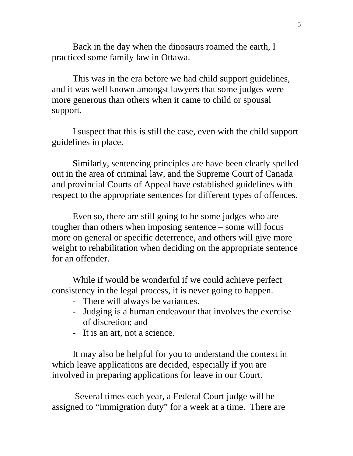Back in the day when the dinosaurs roamed the earth, I practiced some family law in Ottawa.

This was in the era before we had child support guidelines, and it was well known amongst lawyers that some judges were more generous than others when it came to child or spousal support.

I suspect that this is still the case, even with the child support guidelines in place.

Similarly, sentencing principles are have been clearly spelled out in the area of criminal law, and the Supreme Court of Canada and provincial Courts of Appeal have established guidelines with respect to the appropriate sentences for different types of offences.

Even so, there are still going to be some judges who are tougher than others when imposing sentence – some will focus more on general or specific deterrence, and others will give more weight to rehabilitation when deciding on the appropriate sentence for an offender.

While if would be wonderful if we could achieve perfect consistency in the legal process, it is never going to happen.

- There will always be variances.
- Judging is a human endeavour that involves the exercise of discretion; and
- It is an art, not a science.

It may also be helpful for you to understand the context in which leave applications are decided, especially if you are involved in preparing applications for leave in our Court.

Several times each year, a Federal Court judge will be assigned to "immigration duty" for a week at a time. There are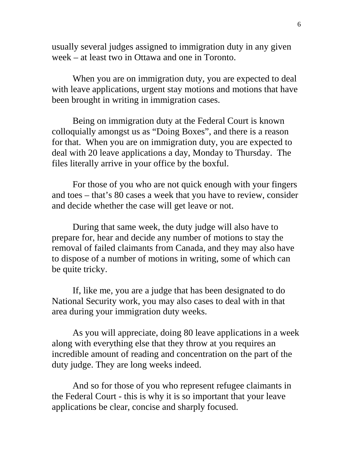usually several judges assigned to immigration duty in any given week – at least two in Ottawa and one in Toronto.

When you are on immigration duty, you are expected to deal with leave applications, urgent stay motions and motions that have been brought in writing in immigration cases.

Being on immigration duty at the Federal Court is known colloquially amongst us as "Doing Boxes", and there is a reason for that. When you are on immigration duty, you are expected to deal with 20 leave applications a day, Monday to Thursday. The files literally arrive in your office by the boxful.

For those of you who are not quick enough with your fingers and toes – that's 80 cases a week that you have to review, consider and decide whether the case will get leave or not.

During that same week, the duty judge will also have to prepare for, hear and decide any number of motions to stay the removal of failed claimants from Canada, and they may also have to dispose of a number of motions in writing, some of which can be quite tricky.

If, like me, you are a judge that has been designated to do National Security work, you may also cases to deal with in that area during your immigration duty weeks.

As you will appreciate, doing 80 leave applications in a week along with everything else that they throw at you requires an incredible amount of reading and concentration on the part of the duty judge. They are long weeks indeed.

And so for those of you who represent refugee claimants in the Federal Court - this is why it is so important that your leave applications be clear, concise and sharply focused.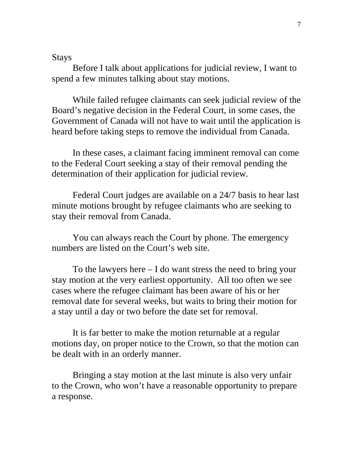Stays

Before I talk about applications for judicial review, I want to spend a few minutes talking about stay motions.

While failed refugee claimants can seek judicial review of the Board's negative decision in the Federal Court, in some cases, the Government of Canada will not have to wait until the application is heard before taking steps to remove the individual from Canada.

In these cases, a claimant facing imminent removal can come to the Federal Court seeking a stay of their removal pending the determination of their application for judicial review.

Federal Court judges are available on a 24/7 basis to hear last minute motions brought by refugee claimants who are seeking to stay their removal from Canada.

You can always reach the Court by phone. The emergency numbers are listed on the Court's web site.

To the lawyers here  $- I$  do want stress the need to bring your stay motion at the very earliest opportunity. All too often we see cases where the refugee claimant has been aware of his or her removal date for several weeks, but waits to bring their motion for a stay until a day or two before the date set for removal.

It is far better to make the motion returnable at a regular motions day, on proper notice to the Crown, so that the motion can be dealt with in an orderly manner.

Bringing a stay motion at the last minute is also very unfair to the Crown, who won't have a reasonable opportunity to prepare a response.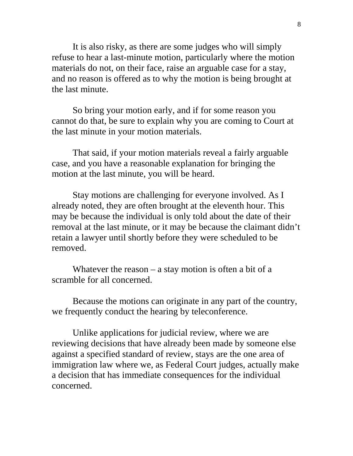It is also risky, as there are some judges who will simply refuse to hear a last-minute motion, particularly where the motion materials do not, on their face, raise an arguable case for a stay, and no reason is offered as to why the motion is being brought at the last minute.

So bring your motion early, and if for some reason you cannot do that, be sure to explain why you are coming to Court at the last minute in your motion materials.

That said, if your motion materials reveal a fairly arguable case, and you have a reasonable explanation for bringing the motion at the last minute, you will be heard.

Stay motions are challenging for everyone involved. As I already noted, they are often brought at the eleventh hour. This may be because the individual is only told about the date of their removal at the last minute, or it may be because the claimant didn't retain a lawyer until shortly before they were scheduled to be removed.

Whatever the reason  $-$  a stay motion is often a bit of a scramble for all concerned.

Because the motions can originate in any part of the country, we frequently conduct the hearing by teleconference.

Unlike applications for judicial review, where we are reviewing decisions that have already been made by someone else against a specified standard of review, stays are the one area of immigration law where we, as Federal Court judges, actually make a decision that has immediate consequences for the individual concerned.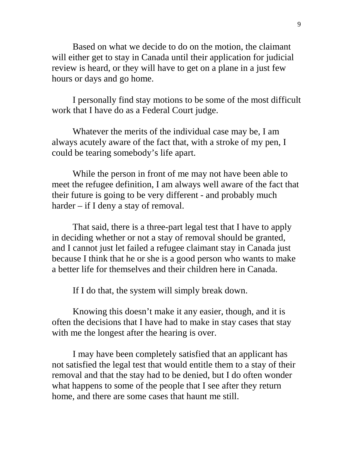Based on what we decide to do on the motion, the claimant will either get to stay in Canada until their application for judicial review is heard, or they will have to get on a plane in a just few hours or days and go home.

I personally find stay motions to be some of the most difficult work that I have do as a Federal Court judge.

Whatever the merits of the individual case may be, I am always acutely aware of the fact that, with a stroke of my pen, I could be tearing somebody's life apart.

While the person in front of me may not have been able to meet the refugee definition, I am always well aware of the fact that their future is going to be very different - and probably much harder – if I deny a stay of removal.

That said, there is a three-part legal test that I have to apply in deciding whether or not a stay of removal should be granted, and I cannot just let failed a refugee claimant stay in Canada just because I think that he or she is a good person who wants to make a better life for themselves and their children here in Canada.

If I do that, the system will simply break down.

Knowing this doesn't make it any easier, though, and it is often the decisions that I have had to make in stay cases that stay with me the longest after the hearing is over.

I may have been completely satisfied that an applicant has not satisfied the legal test that would entitle them to a stay of their removal and that the stay had to be denied, but I do often wonder what happens to some of the people that I see after they return home, and there are some cases that haunt me still.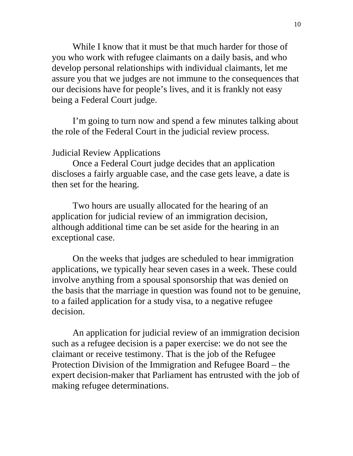While I know that it must be that much harder for those of you who work with refugee claimants on a daily basis, and who develop personal relationships with individual claimants, let me assure you that we judges are not immune to the consequences that our decisions have for people's lives, and it is frankly not easy being a Federal Court judge.

I'm going to turn now and spend a few minutes talking about the role of the Federal Court in the judicial review process.

## Judicial Review Applications

Once a Federal Court judge decides that an application discloses a fairly arguable case, and the case gets leave, a date is then set for the hearing.

Two hours are usually allocated for the hearing of an application for judicial review of an immigration decision, although additional time can be set aside for the hearing in an exceptional case.

On the weeks that judges are scheduled to hear immigration applications, we typically hear seven cases in a week. These could involve anything from a spousal sponsorship that was denied on the basis that the marriage in question was found not to be genuine, to a failed application for a study visa, to a negative refugee decision.

An application for judicial review of an immigration decision such as a refugee decision is a paper exercise: we do not see the claimant or receive testimony. That is the job of the Refugee Protection Division of the Immigration and Refugee Board – the expert decision-maker that Parliament has entrusted with the job of making refugee determinations.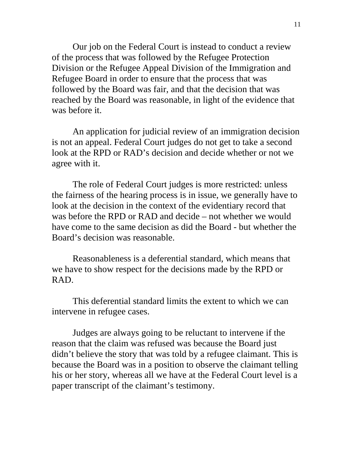Our job on the Federal Court is instead to conduct a review of the process that was followed by the Refugee Protection Division or the Refugee Appeal Division of the Immigration and Refugee Board in order to ensure that the process that was followed by the Board was fair, and that the decision that was reached by the Board was reasonable, in light of the evidence that was before it.

An application for judicial review of an immigration decision is not an appeal. Federal Court judges do not get to take a second look at the RPD or RAD's decision and decide whether or not we agree with it.

The role of Federal Court judges is more restricted: unless the fairness of the hearing process is in issue, we generally have to look at the decision in the context of the evidentiary record that was before the RPD or RAD and decide – not whether we would have come to the same decision as did the Board - but whether the Board's decision was reasonable.

Reasonableness is a deferential standard, which means that we have to show respect for the decisions made by the RPD or RAD.

This deferential standard limits the extent to which we can intervene in refugee cases.

Judges are always going to be reluctant to intervene if the reason that the claim was refused was because the Board just didn't believe the story that was told by a refugee claimant. This is because the Board was in a position to observe the claimant telling his or her story, whereas all we have at the Federal Court level is a paper transcript of the claimant's testimony.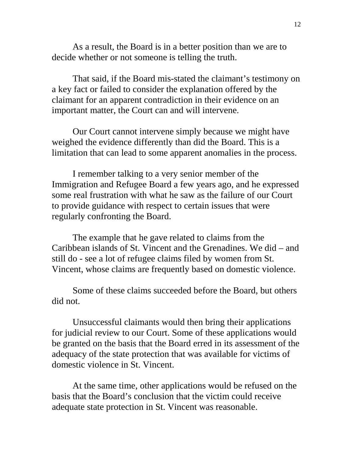As a result, the Board is in a better position than we are to decide whether or not someone is telling the truth.

That said, if the Board mis-stated the claimant's testimony on a key fact or failed to consider the explanation offered by the claimant for an apparent contradiction in their evidence on an important matter, the Court can and will intervene.

Our Court cannot intervene simply because we might have weighed the evidence differently than did the Board. This is a limitation that can lead to some apparent anomalies in the process.

I remember talking to a very senior member of the Immigration and Refugee Board a few years ago, and he expressed some real frustration with what he saw as the failure of our Court to provide guidance with respect to certain issues that were regularly confronting the Board.

The example that he gave related to claims from the Caribbean islands of St. Vincent and the Grenadines. We did – and still do - see a lot of refugee claims filed by women from St. Vincent, whose claims are frequently based on domestic violence.

Some of these claims succeeded before the Board, but others did not.

Unsuccessful claimants would then bring their applications for judicial review to our Court. Some of these applications would be granted on the basis that the Board erred in its assessment of the adequacy of the state protection that was available for victims of domestic violence in St. Vincent.

At the same time, other applications would be refused on the basis that the Board's conclusion that the victim could receive adequate state protection in St. Vincent was reasonable.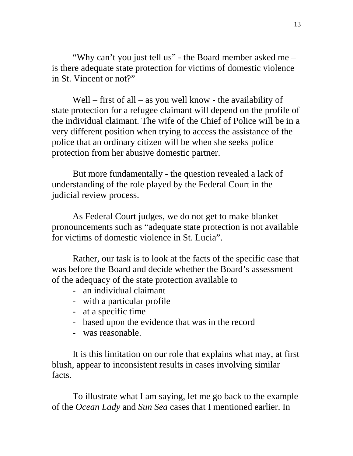"Why can't you just tell us" - the Board member asked me – is there adequate state protection for victims of domestic violence in St. Vincent or not?"

Well – first of all – as you well know - the availability of state protection for a refugee claimant will depend on the profile of the individual claimant. The wife of the Chief of Police will be in a very different position when trying to access the assistance of the police that an ordinary citizen will be when she seeks police protection from her abusive domestic partner.

But more fundamentally - the question revealed a lack of understanding of the role played by the Federal Court in the judicial review process.

As Federal Court judges, we do not get to make blanket pronouncements such as "adequate state protection is not available for victims of domestic violence in St. Lucia".

Rather, our task is to look at the facts of the specific case that was before the Board and decide whether the Board's assessment of the adequacy of the state protection available to

- an individual claimant
- with a particular profile
- at a specific time
- based upon the evidence that was in the record
- was reasonable.

It is this limitation on our role that explains what may, at first blush, appear to inconsistent results in cases involving similar facts.

To illustrate what I am saying, let me go back to the example of the *Ocean Lady* and *Sun Sea* cases that I mentioned earlier. In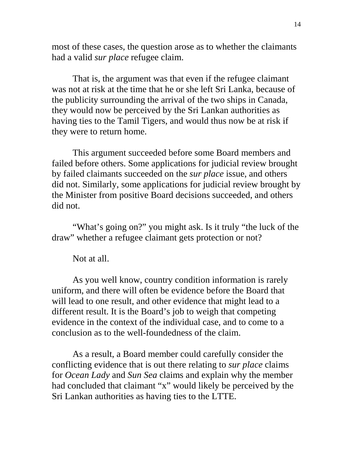most of these cases, the question arose as to whether the claimants had a valid *sur place* refugee claim.

That is, the argument was that even if the refugee claimant was not at risk at the time that he or she left Sri Lanka, because of the publicity surrounding the arrival of the two ships in Canada, they would now be perceived by the Sri Lankan authorities as having ties to the Tamil Tigers, and would thus now be at risk if they were to return home.

This argument succeeded before some Board members and failed before others. Some applications for judicial review brought by failed claimants succeeded on the *sur place* issue, and others did not. Similarly, some applications for judicial review brought by the Minister from positive Board decisions succeeded, and others did not.

"What's going on?" you might ask. Is it truly "the luck of the draw" whether a refugee claimant gets protection or not?

Not at all.

As you well know, country condition information is rarely uniform, and there will often be evidence before the Board that will lead to one result, and other evidence that might lead to a different result. It is the Board's job to weigh that competing evidence in the context of the individual case, and to come to a conclusion as to the well-foundedness of the claim.

As a result, a Board member could carefully consider the conflicting evidence that is out there relating to *sur place* claims for *Ocean Lady* and *Sun Sea* claims and explain why the member had concluded that claimant "x" would likely be perceived by the Sri Lankan authorities as having ties to the LTTE.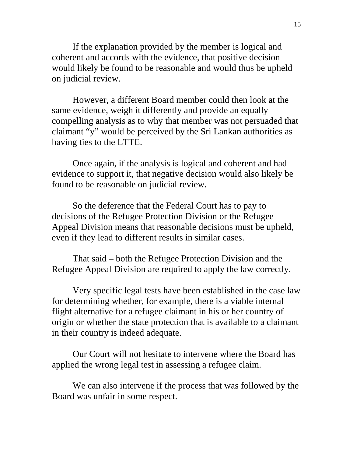If the explanation provided by the member is logical and coherent and accords with the evidence, that positive decision would likely be found to be reasonable and would thus be upheld on judicial review.

However, a different Board member could then look at the same evidence, weigh it differently and provide an equally compelling analysis as to why that member was not persuaded that claimant "y" would be perceived by the Sri Lankan authorities as having ties to the LTTE.

Once again, if the analysis is logical and coherent and had evidence to support it, that negative decision would also likely be found to be reasonable on judicial review.

So the deference that the Federal Court has to pay to decisions of the Refugee Protection Division or the Refugee Appeal Division means that reasonable decisions must be upheld, even if they lead to different results in similar cases.

That said – both the Refugee Protection Division and the Refugee Appeal Division are required to apply the law correctly.

Very specific legal tests have been established in the case law for determining whether, for example, there is a viable internal flight alternative for a refugee claimant in his or her country of origin or whether the state protection that is available to a claimant in their country is indeed adequate.

Our Court will not hesitate to intervene where the Board has applied the wrong legal test in assessing a refugee claim.

We can also intervene if the process that was followed by the Board was unfair in some respect.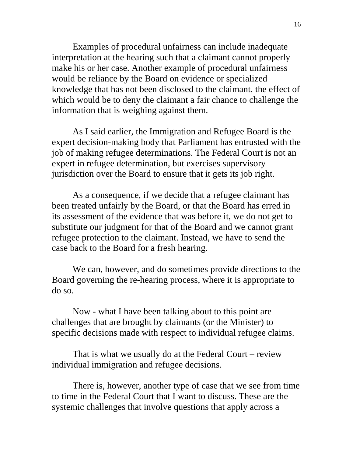Examples of procedural unfairness can include inadequate interpretation at the hearing such that a claimant cannot properly make his or her case. Another example of procedural unfairness would be reliance by the Board on evidence or specialized knowledge that has not been disclosed to the claimant, the effect of which would be to deny the claimant a fair chance to challenge the information that is weighing against them.

As I said earlier, the Immigration and Refugee Board is the expert decision-making body that Parliament has entrusted with the job of making refugee determinations. The Federal Court is not an expert in refugee determination, but exercises supervisory jurisdiction over the Board to ensure that it gets its job right.

As a consequence, if we decide that a refugee claimant has been treated unfairly by the Board, or that the Board has erred in its assessment of the evidence that was before it, we do not get to substitute our judgment for that of the Board and we cannot grant refugee protection to the claimant. Instead, we have to send the case back to the Board for a fresh hearing.

We can, however, and do sometimes provide directions to the Board governing the re-hearing process, where it is appropriate to do so.

Now - what I have been talking about to this point are challenges that are brought by claimants (or the Minister) to specific decisions made with respect to individual refugee claims.

That is what we usually do at the Federal Court – review individual immigration and refugee decisions.

There is, however, another type of case that we see from time to time in the Federal Court that I want to discuss. These are the systemic challenges that involve questions that apply across a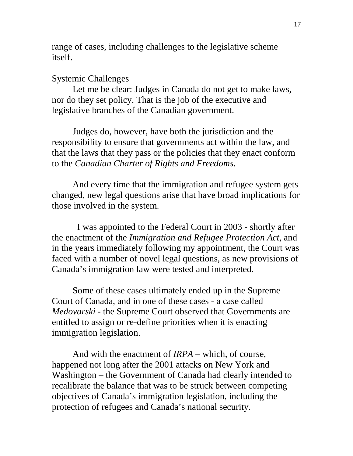range of cases, including challenges to the legislative scheme itself.

#### Systemic Challenges

Let me be clear: Judges in Canada do not get to make laws, nor do they set policy. That is the job of the executive and legislative branches of the Canadian government.

Judges do, however, have both the jurisdiction and the responsibility to ensure that governments act within the law, and that the laws that they pass or the policies that they enact conform to the *Canadian Charter of Rights and Freedoms*.

And every time that the immigration and refugee system gets changed, new legal questions arise that have broad implications for those involved in the system.

 I was appointed to the Federal Court in 2003 - shortly after the enactment of the *Immigration and Refugee Protection Act*, and in the years immediately following my appointment, the Court was faced with a number of novel legal questions, as new provisions of Canada's immigration law were tested and interpreted.

Some of these cases ultimately ended up in the Supreme Court of Canada, and in one of these cases - a case called *Medovarski -* the Supreme Court observed that Governments are entitled to assign or re-define priorities when it is enacting immigration legislation.

And with the enactment of *IRPA* – which, of course, happened not long after the 2001 attacks on New York and Washington – the Government of Canada had clearly intended to recalibrate the balance that was to be struck between competing objectives of Canada's immigration legislation, including the protection of refugees and Canada's national security.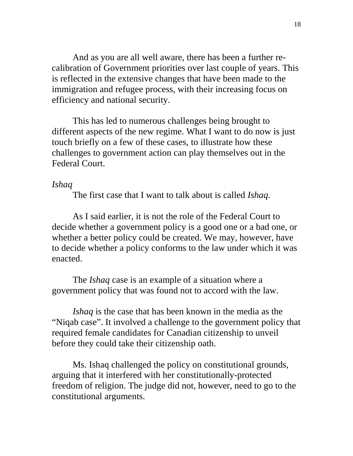And as you are all well aware, there has been a further recalibration of Government priorities over last couple of years. This is reflected in the extensive changes that have been made to the immigration and refugee process, with their increasing focus on efficiency and national security.

This has led to numerous challenges being brought to different aspects of the new regime. What I want to do now is just touch briefly on a few of these cases, to illustrate how these challenges to government action can play themselves out in the Federal Court.

## *Ishaq*

The first case that I want to talk about is called *Ishaq.*

As I said earlier, it is not the role of the Federal Court to decide whether a government policy is a good one or a bad one, or whether a better policy could be created. We may, however, have to decide whether a policy conforms to the law under which it was enacted.

The *Ishaq* case is an example of a situation where a government policy that was found not to accord with the law.

*Ishaq* is the case that has been known in the media as the "Niqab case". It involved a challenge to the government policy that required female candidates for Canadian citizenship to unveil before they could take their citizenship oath.

Ms. Ishaq challenged the policy on constitutional grounds, arguing that it interfered with her constitutionally-protected freedom of religion. The judge did not, however, need to go to the constitutional arguments.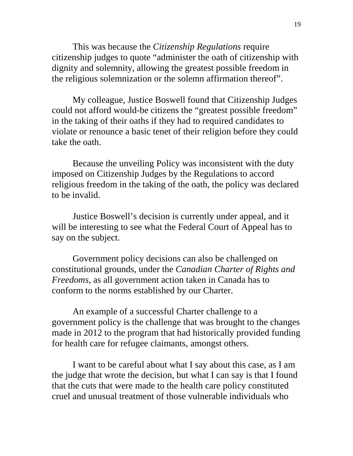This was because the *Citizenship Regulations* require citizenship judges to quote "administer the oath of citizenship with dignity and solemnity, allowing the greatest possible freedom in the religious solemnization or the solemn affirmation thereof".

My colleague, Justice Boswell found that Citizenship Judges could not afford would-be citizens the "greatest possible freedom" in the taking of their oaths if they had to required candidates to violate or renounce a basic tenet of their religion before they could take the oath.

 Because the unveiling Policy was inconsistent with the duty imposed on Citizenship Judges by the Regulations to accord religious freedom in the taking of the oath, the policy was declared to be invalid.

Justice Boswell's decision is currently under appeal, and it will be interesting to see what the Federal Court of Appeal has to say on the subject.

Government policy decisions can also be challenged on constitutional grounds, under the *Canadian Charter of Rights and Freedoms*, as all government action taken in Canada has to conform to the norms established by our Charter.

An example of a successful Charter challenge to a government policy is the challenge that was brought to the changes made in 2012 to the program that had historically provided funding for health care for refugee claimants, amongst others.

I want to be careful about what I say about this case, as I am the judge that wrote the decision, but what I can say is that I found that the cuts that were made to the health care policy constituted cruel and unusual treatment of those vulnerable individuals who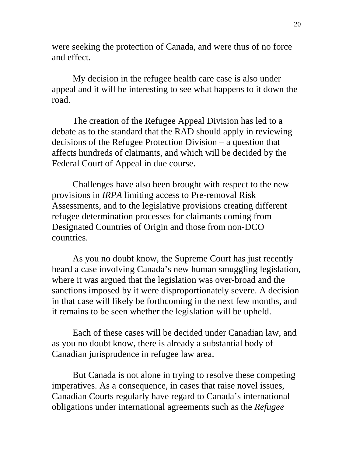were seeking the protection of Canada, and were thus of no force and effect.

My decision in the refugee health care case is also under appeal and it will be interesting to see what happens to it down the road.

The creation of the Refugee Appeal Division has led to a debate as to the standard that the RAD should apply in reviewing decisions of the Refugee Protection Division – a question that affects hundreds of claimants, and which will be decided by the Federal Court of Appeal in due course.

Challenges have also been brought with respect to the new provisions in *IRPA* limiting access to Pre-removal Risk Assessments, and to the legislative provisions creating different refugee determination processes for claimants coming from Designated Countries of Origin and those from non-DCO countries.

As you no doubt know, the Supreme Court has just recently heard a case involving Canada's new human smuggling legislation, where it was argued that the legislation was over-broad and the sanctions imposed by it were disproportionately severe. A decision in that case will likely be forthcoming in the next few months, and it remains to be seen whether the legislation will be upheld.

Each of these cases will be decided under Canadian law, and as you no doubt know, there is already a substantial body of Canadian jurisprudence in refugee law area.

But Canada is not alone in trying to resolve these competing imperatives. As a consequence, in cases that raise novel issues, Canadian Courts regularly have regard to Canada's international obligations under international agreements such as the *Refugee*